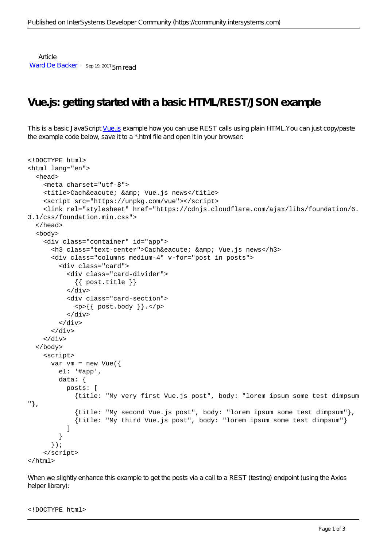**Article** [Ward De Backer](https://community.intersystems.com/user/ward-de-backer) · Sep 19, 2017 5m read

## **Vue.js: getting started with a basic HTML/REST/JSON example**

This is a basic JavaScript [Vue.js](https://vuejs.org/) example how you can use REST calls using plain HTML.You can just copy/paste the example code below, save it to a \*.html file and open it in your browser:

```
<!DOCTYPE html>
<html lang="en">
   <head>
     <meta charset="utf-8">
    <title>Cach&eacute; & amp; Vue.js news</title>
     <script src="https://unpkg.com/vue"></script>
     <link rel="stylesheet" href="https://cdnjs.cloudflare.com/ajax/libs/foundation/6.
3.1/css/foundation.min.css">
   </head>
   <body>
     <div class="container" id="app">
      <h3 class="text-center">Cach&eacute; & amp; Vue.js news</h3>
       <div class="columns medium-4" v-for="post in posts">
         <div class="card">
           <div class="card-divider">
             {{ post.title }}
           </div>
           <div class="card-section">
            \{ \pmod{y} \}. </p>
           </div>
         </div>
       </div> 
     </div>
   </body>
     <script>
      var vm = new Vue(\{ el: '#app',
         data: {
           posts: [
             {title: "My very first Vue.js post", body: "lorem ipsum some test dimpsum
"},
             {title: "My second Vue.js post", body: "lorem ipsum some test dimpsum"},
             {title: "My third Vue.js post", body: "lorem ipsum some test dimpsum"}
 ]
         }
       }); 
     </script>
\langle/html>
```
When we slightly enhance this example to get the posts via a call to a REST (testing) endpoint (using the Axios helper library):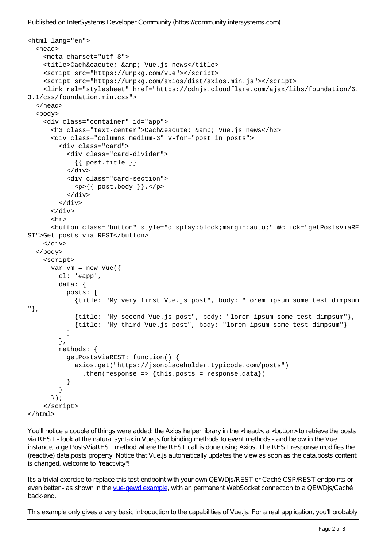```
<html lang="en">
   <head>
     <meta charset="utf-8">
    <title>Cach&eacute; & amp; Vue.js news</title>
     <script src="https://unpkg.com/vue"></script>
     <script src="https://unpkg.com/axios/dist/axios.min.js"></script>
     <link rel="stylesheet" href="https://cdnjs.cloudflare.com/ajax/libs/foundation/6.
3.1/css/foundation.min.css">
   </head>
   <body>
     <div class="container" id="app">
      <h3 class="text-center">Cach&eacute; & amp; Vue.js news</h3>
       <div class="columns medium-3" v-for="post in posts">
         <div class="card">
           <div class="card-divider">
             {{ post.title }}
           </div>
           <div class="card-section">
             <p>{{ post.body }}.</p>
           </div>
         </div>
       </div>
       <hr>
       <button class="button" style="display:block;margin:auto;" @click="getPostsViaRE
ST">Get posts via REST</button>
     </div>
   </body>
     <script>
      var vm = new Vue\{\} el: '#app',
         data: {
           posts: [
             {title: "My very first Vue.js post", body: "lorem ipsum some test dimpsum
"},
             {title: "My second Vue.js post", body: "lorem ipsum some test dimpsum"},
             {title: "My third Vue.js post", body: "lorem ipsum some test dimpsum"}
 ]
         },
         methods: {
           getPostsViaREST: function() {
             axios.get("https://jsonplaceholder.typicode.com/posts")
               .then(response => {this.posts = response.data})
 }
 }
       }); 
     </script>
</html>
```
You'll notice a couple of things were added: the Axios helper library in the <head>, a <br/>sbutton> to retrieve the posts via REST - look at the natural syntax in Vue.js for binding methods to event methods - and below in the Vue instance, a getPostsViaREST method where the REST call is done using Axios. The REST response modifies the (reactive) data.posts property. Notice that Vue.js automatically updates the view as soon as the data.posts content is changed, welcome to "reactivity"!

It's a trivial exercise to replace this test endpoint with your own QEWD is REST or Caché CSP/REST endpoints or even better - as shown in the vue-gewd example, with an permanent WebSocket connection to a QEWDjs/Caché back-end.

This example only gives a very basic introduction to the capabilities of Vue.js. For a real application, you'll probably